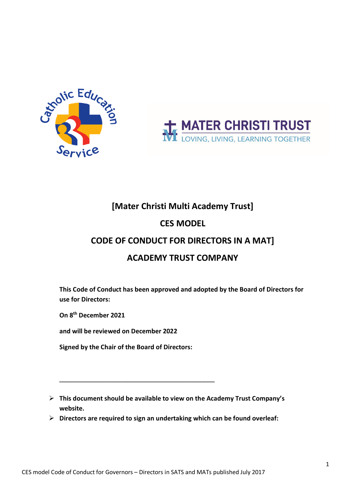



## **[Mater Christi Multi Academy Trust]**

### **CES MODEL**

## **CODE OF CONDUCT FOR DIRECTORS IN A MAT]**

## **ACADEMY TRUST COMPANY**

**This Code of Conduct has been approved and adopted by the Board of Directors for use for Directors:**

**On 8th December 2021**

**and will be reviewed on December 2022**

**Signed by the Chair of the Board of Directors:**

\_\_\_\_\_\_\_\_\_\_\_\_\_\_\_\_\_\_\_\_\_\_\_\_\_\_\_\_\_\_\_\_\_\_\_\_\_\_\_\_\_\_\_\_

- **This document should be available to view on the Academy Trust Company's website.**
- **Directors are required to sign an undertaking which can be found overleaf:**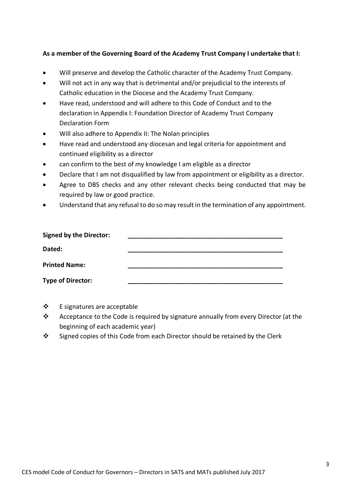#### **As a member of the Governing Board of the Academy Trust Company I undertake that I:**

- Will preserve and develop the Catholic character of the Academy Trust Company.
- Will not act in any way that is detrimental and/or prejudicial to the interests of Catholic education in the Diocese and the Academy Trust Company.
- Have read, understood and will adhere to this Code of Conduct and to the declaration in Appendix I: Foundation Director of Academy Trust Company Declaration Form
- Will also adhere to Appendix II: The Nolan principles
- Have read and understood any diocesan and legal criteria for appointment and continued eligibility as a director
- can confirm to the best of my knowledge I am eligible as a director
- Declare that I am not disqualified by law from appointment or eligibility as a director.
- Agree to DBS checks and any other relevant checks being conducted that may be required by law or good practice.
- Understand that any refusal to do so may result in the termination of any appointment.

| <b>Signed by the Director:</b> |  |
|--------------------------------|--|
| Dated:                         |  |
| <b>Printed Name:</b>           |  |
| <b>Type of Director:</b>       |  |

- $\div$  E signatures are acceptable
- \* Acceptance to the Code is required by signature annually from every Director (at the beginning of each academic year)
- Signed copies of this Code from each Director should be retained by the Clerk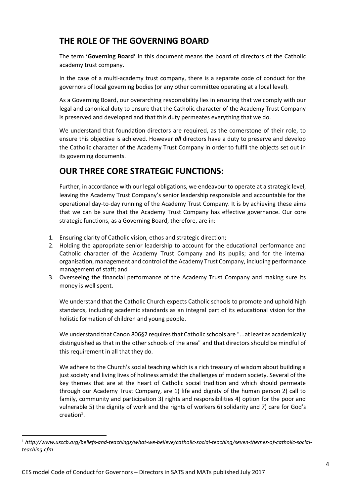## **THE ROLE OF THE GOVERNING BOARD**

The term **'Governing Board'** in this document means the board of directors of the Catholic academy trust company.

In the case of a multi-academy trust company, there is a separate code of conduct for the governors of local governing bodies (or any other committee operating at a local level).

As a Governing Board, our overarching responsibility lies in ensuring that we comply with our legal and canonical duty to ensure that the Catholic character of the Academy Trust Company is preserved and developed and that this duty permeates everything that we do.

We understand that foundation directors are required, as the cornerstone of their role, to ensure this objective is achieved. However *all* directors have a duty to preserve and develop the Catholic character of the Academy Trust Company in order to fulfil the objects set out in its governing documents.

## **OUR THREE CORE STRATEGIC FUNCTIONS:**

Further, in accordance with our legal obligations, we endeavour to operate at a strategic level, leaving the Academy Trust Company's senior leadership responsible and accountable for the operational day-to-day running of the Academy Trust Company. It is by achieving these aims that we can be sure that the Academy Trust Company has effective governance. Our core strategic functions, as a Governing Board, therefore, are in:

- 1. Ensuring clarity of Catholic vision, ethos and strategic direction;
- 2. Holding the appropriate senior leadership to account for the educational performance and Catholic character of the Academy Trust Company and its pupils; and for the internal organisation, management and control of the Academy Trust Company, including performance management of staff; and
- 3. Overseeing the financial performance of the Academy Trust Company and making sure its money is well spent.

We understand that the Catholic Church expects Catholic schools to promote and uphold high standards, including academic standards as an integral part of its educational vision for the holistic formation of children and young people.

We understand that Canon 806§2 requires that Catholic schools are "...at least as academically distinguished as that in the other schools of the area" and that directors should be mindful of this requirement in all that they do.

We adhere to the Church's social teaching which is a rich treasury of wisdom about building a just society and living lives of holiness amidst the challenges of modern society. Several of the key themes that are at the heart of Catholic social tradition and which should permeate through our Academy Trust Company, are 1) life and dignity of the human person 2) call to family, community and participation 3) rights and responsibilities 4) option for the poor and vulnerable 5) the dignity of work and the rights of workers 6) solidarity and 7) care for God's  $c$ reation<sup>1</sup>.

<sup>1</sup> *http://www.usccb.org/beliefs-and-teachings/what-we-believe/catholic-social-teaching/seven-themes-of-catholic-socialteaching.cfm*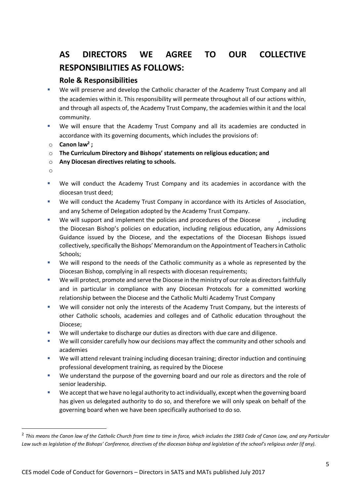# **AS DIRECTORS WE AGREE TO OUR COLLECTIVE RESPONSIBILITIES AS FOLLOWS:**

#### **Role & Responsibilities**

- We will preserve and develop the Catholic character of the Academy Trust Company and all the academies within it. This responsibility will permeate throughout all of our actions within, and through all aspects of, the Academy Trust Company, the academies within it and the local community.
- We will ensure that the Academy Trust Company and all its academies are conducted in accordance with its governing documents, which includes the provisions of:
- o **Canon law2 ;**
- o **The Curriculum Directory and Bishops' statements on religious education; and**
- o **Any Diocesan directives relating to schools.**
- o
- We will conduct the Academy Trust Company and its academies in accordance with the diocesan trust deed;
- We will conduct the Academy Trust Company in accordance with its Articles of Association, and any Scheme of Delegation adopted by the Academy Trust Company.
- We will support and implement the policies and procedures of the Diocese and proteing the Diocesan Bishop's policies on education, including religious education, any Admissions Guidance issued by the Diocese, and the expectations of the Diocesan Bishops issued collectively, specifically the Bishops' Memorandum on the Appointment of Teachers in Catholic Schools;
- We will respond to the needs of the Catholic community as a whole as represented by the Diocesan Bishop, complying in all respects with diocesan requirements;
- We will protect, promote and serve the Diocese in the ministry of our role as directors faithfully and in particular in compliance with any Diocesan Protocols for a committed working relationship between the Diocese and the Catholic Multi Academy Trust Company
- We will consider not only the interests of the Academy Trust Company, but the interests of other Catholic schools, academies and colleges and of Catholic education throughout the Diocese;
- We will undertake to discharge our duties as directors with due care and diligence.
- We will consider carefully how our decisions may affect the community and other schools and academies
- We will attend relevant training including diocesan training; director induction and continuing professional development training, as required by the Diocese
- We understand the purpose of the governing board and our role as directors and the role of senior leadership.
- We accept that we have no legal authority to act individually, except when the governing board has given us delegated authority to do so, and therefore we will only speak on behalf of the governing board when we have been specifically authorised to do so.

<sup>2</sup> *This means the Canon law of the Catholic Church from time to time in force, which includes the 1983 Code of Canon Law, and any Particular*  Law such as legislation of the Bishops' Conference, directives of the diocesan bishop and legislation of the school's religious order (if any).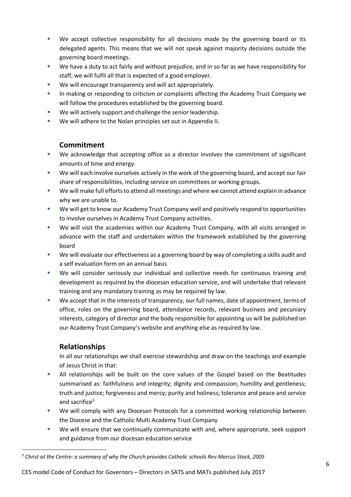- We accept collective responsibility for all decisions made by the governing board or its delegated agents. This means that we will not speak against majority decisions outside the governing board meetings.
- We have a duty to act fairly and without prejudice, and in so far as we have responsibility for staff, we will fulfil all that is expected of a good employer.
- We will encourage transparency and will act appropriately.
- In making or responding to criticism or complaints affecting the Academy Trust Company we will follow the procedures established by the governing board.
- We will actively support and challenge the senior leadership.
- We will adhere to the Nolan principles set out in Appendix II.

#### **Commitment**

- We acknowledge that accepting office as a director involves the commitment of significant amounts of time and energy.
- We will each involve ourselves actively in the work of the governing board, and accept our fair share of responsibilities, including service on committees or working groups.
- We will make full efforts to attend all meetings and where we cannot attend explain in advance why we are unable to.
- We will get to know our Academy Trust Company well and positively respond to opportunities to involve ourselves in Academy Trust Company activities.
- We will visit the academies within our Academy Trust Company, with all visits arranged in advance with the staff and undertaken within the framework established by the governing board
- We will evaluate our effectiveness as a governing board by way of completing a skills audit and a self evaluation form on an annual basis
- We will consider seriously our individual and collective needs for continuous training and development as required by the diocesan education service, and will undertake that relevant training and any mandatory training as may be required by law.
- We accept that in the interests of transparency, our full names, date of appointment, terms of office, roles on the governing board, attendance records, relevant business and pecuniary interests, category of director and the body responsible for appointing us will be published on our Academy Trust Company's website and anything else as required by law.

### **Relationships**

In all our relationships we shall exercise stewardship and draw on the teachings and example of Jesus Christ in that:

- All relationships will be built on the core values of the Gospel based on the Beatitudes summarised as: faithfulness and integrity; dignity and compassion; humility and gentleness; truth and justice; forgiveness and mercy; purity and holiness; tolerance and peace and service and sacrifice<sup>3</sup>
- We will comply with any Diocesan Protocols for a committed working relationship between the Diocese and the Catholic Multi Academy Trust Company
- We will ensure that we continually communicate with and, where appropriate, seek support and guidance from our diocesan education service

*<sup>3</sup> Christ at the Centre: a summary of why the Church provides Catholic schools Rev Marcus Stock, 2005*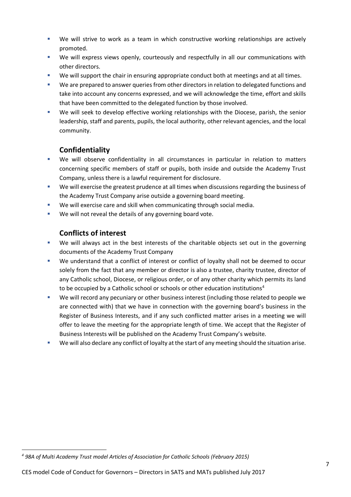- We will strive to work as a team in which constructive working relationships are actively promoted.
- We will express views openly, courteously and respectfully in all our communications with other directors.
- We will support the chair in ensuring appropriate conduct both at meetings and at all times.
- We are prepared to answer queries from other directors in relation to delegated functions and take into account any concerns expressed, and we will acknowledge the time, effort and skills that have been committed to the delegated function by those involved.
- We will seek to develop effective working relationships with the Diocese, parish, the senior leadership, staff and parents, pupils, the local authority, other relevant agencies, and the local community.

#### **Confidentiality**

- We will observe confidentiality in all circumstances in particular in relation to matters concerning specific members of staff or pupils, both inside and outside the Academy Trust Company, unless there is a lawful requirement for disclosure.
- We will exercise the greatest prudence at all times when discussions regarding the business of the Academy Trust Company arise outside a governing board meeting.
- We will exercise care and skill when communicating through social media.
- **We will not reveal the details of any governing board vote.**

#### **Conflicts of interest**

- We will always act in the best interests of the charitable objects set out in the governing documents of the Academy Trust Company
- We understand that a conflict of interest or conflict of loyalty shall not be deemed to occur solely from the fact that any member or director is also a trustee, charity trustee, director of any Catholic school, Diocese, or religious order, or of any other charity which permits its land to be occupied by a Catholic school or schools or other education institutions<sup>4</sup>
- We will record any pecuniary or other business interest (including those related to people we are connected with) that we have in connection with the governing board's business in the Register of Business Interests, and if any such conflicted matter arises in a meeting we will offer to leave the meeting for the appropriate length of time. We accept that the Register of Business Interests will be published on the Academy Trust Company's website.
- We will also declare any conflict of loyalty at the start of any meeting should the situation arise.

*<sup>4</sup> 98A of Multi Academy Trust model Articles of Association for Catholic Schools (February 2015)*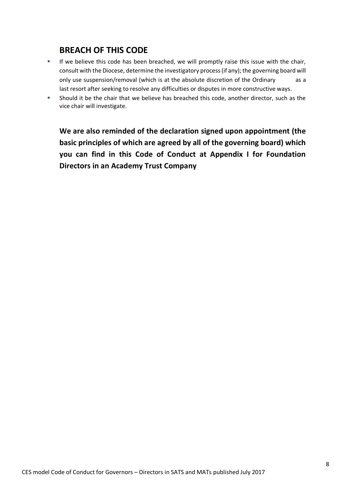### **BREACH OF THIS CODE**

- If we believe this code has been breached, we will promptly raise this issue with the chair, consult with the Diocese, determine the investigatory process (if any); the governing board will only use suspension/removal (which is at the absolute discretion of the Ordinary as a last resort after seeking to resolve any difficulties or disputes in more constructive ways.
- Should it be the chair that we believe has breached this code, another director, such as the vice chair will investigate.

**We are also reminded of the declaration signed upon appointment (the basic principles of which are agreed by all of the governing board) which you can find in this Code of Conduct at Appendix I for Foundation Directors in an Academy Trust Company**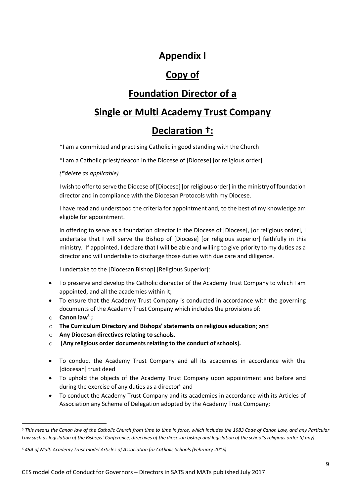## **Appendix I**

## **Copy of**

# **Foundation Director of a**

## **Single or Multi Academy Trust Company**

# **Declaration †:**

\*I am a committed and practising Catholic in good standing with the Church

\*I am a Catholic priest/deacon in the Diocese of [Diocese] [or religious order]

*(\*delete as applicable)*

I wish to offer to serve the Diocese of [Diocese] [or religious order] in the ministry of foundation director and in compliance with the Diocesan Protocols with my Diocese.

I have read and understood the criteria for appointment and, to the best of my knowledge am eligible for appointment.

In offering to serve as a foundation director in the Diocese of [Diocese], [or religious order], I undertake that I will serve the Bishop of [Diocese] [or religious superior] faithfully in this ministry. If appointed, I declare that I will be able and willing to give priority to my duties as a director and will undertake to discharge those duties with due care and diligence.

I undertake to the [Diocesan Bishop] [Religious Superior]:

- To preserve and develop the Catholic character of the Academy Trust Company to which I am appointed, and all the academies within it;
- To ensure that the Academy Trust Company is conducted in accordance with the governing documents of the Academy Trust Company which includes the provisions of:
- o **Canon law5 ;**
- o **The Curriculum Directory and Bishops' statements on religious education**; and
- o **Any Diocesan directives relating to** schools.
- o **[Any religious order documents relating to the conduct of schools].**
- To conduct the Academy Trust Company and all its academies in accordance with the [diocesan] trust deed
- To uphold the objects of the Academy Trust Company upon appointment and before and during the exercise of any duties as a director $6$  and
- To conduct the Academy Trust Company and its academies in accordance with its Articles of Association any Scheme of Delegation adopted by the Academy Trust Company;

*<sup>5</sup> This means the Canon law of the Catholic Church from time to time in force, which includes the 1983 Code of Canon Law, and any Particular Law such as legislation of the Bishops' Conference, directives of the diocesan bishop and legislation of the school's religious order (if any).* 

*<sup>6</sup> 45A of Multi Academy Trust model Articles of Association for Catholic Schools (February 2015)*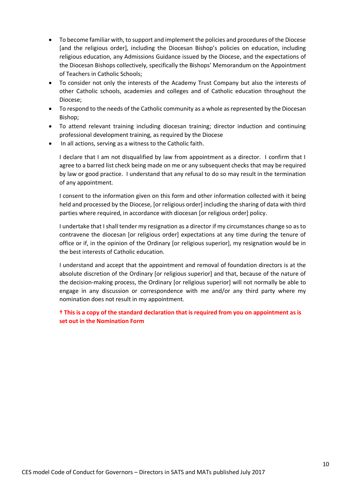- To become familiar with, to support and implement the policies and procedures of the Diocese [and the religious order], including the Diocesan Bishop's policies on education, including religious education, any Admissions Guidance issued by the Diocese, and the expectations of the Diocesan Bishops collectively, specifically the Bishops' Memorandum on the Appointment of Teachers in Catholic Schools;
- To consider not only the interests of the Academy Trust Company but also the interests of other Catholic schools, academies and colleges and of Catholic education throughout the Diocese;
- To respond to the needs of the Catholic community as a whole as represented by the Diocesan Bishop;
- To attend relevant training including diocesan training; director induction and continuing professional development training, as required by the Diocese
- In all actions, serving as a witness to the Catholic faith.

I declare that I am not disqualified by law from appointment as a director. I confirm that I agree to a barred list check being made on me or any subsequent checks that may be required by law or good practice. I understand that any refusal to do so may result in the termination of any appointment.

I consent to the information given on this form and other information collected with it being held and processed by the Diocese, [or religious order] including the sharing of data with third parties where required, in accordance with diocesan [or religious order] policy.

I undertake that I shall tender my resignation as a director if my circumstances change so as to contravene the diocesan [or religious order] expectations at any time during the tenure of office or if, in the opinion of the Ordinary [or religious superior], my resignation would be in the best interests of Catholic education.

I understand and accept that the appointment and removal of foundation directors is at the absolute discretion of the Ordinary [or religious superior] and that, because of the nature of the decision-making process, the Ordinary [or religious superior] will not normally be able to engage in any discussion or correspondence with me and/or any third party where my nomination does not result in my appointment.

**† This is a copy of the standard declaration that is required from you on appointment as is set out in the Nomination Form**